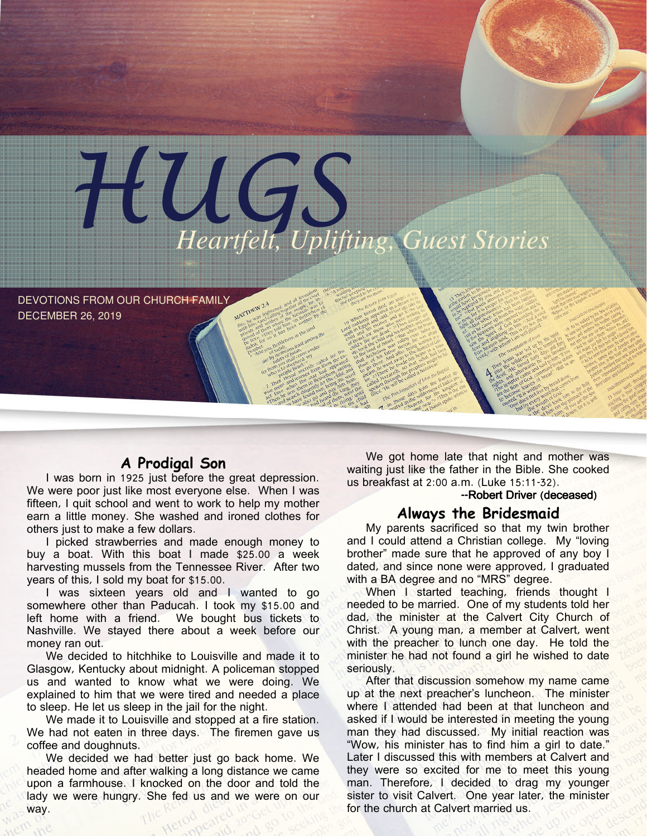

DEVOTIONS FROM OUR CHURCH FAMILY DECEMBER 26, 2019

## A Prodigal Son

I was born in 1925 just before the great depression. We were poor just like most everyone else. When I was fifteen, I quit school and went to work to help my mother earn a little money. She washed and ironed clothes for others just to make a few dollars.

I picked strawberries and made enough money to buy a boat. With this boat I made \$25.00 a week harvesting mussels from the Tennessee River. After two years of this, I sold my boat for \$15.00.

I was sixteen years old and I wanted to go somewhere other than Paducah. I took my \$15.00 and left home with a friend. We bought bus tickets to Nashville. We stayed there about a week before our money ran out.

We decided to hitchhike to Louisville and made it to Glasgow, Kentucky about midnight. A policeman stopped us and wanted to know what we were doing. We explained to him that we were tired and needed a place to sleep. He let us sleep in the jail for the night.

We made it to Louisville and stopped at a fire station. We had not eaten in three days. The firemen gave us coffee and doughnuts.

We decided we had better just go back home. We headed home and after walking a long distance we came upon a farmhouse. I knocked on the door and told the lady we were hungry. She fed us and we were on our way.

We got home late that night and mother was waiting just like the father in the Bible. She cooked us breakfast at 2:00 a.m. (Luke 15:11-32).

### --Robert Driver (deceased)

#### Always the Bridesmaid

My parents sacrificed so that my twin brother and I could attend a Christian college. My "loving brother" made sure that he approved of any boy I dated, and since none were approved, I graduated with a BA degree and no "MRS" degree.

When I started teaching, friends thought I needed to be married. One of my students told her dad, the minister at the Calvert City Church of Christ. A young man, a member at Calvert, went with the preacher to lunch one day. He told the minister he had not found a girl he wished to date seriously.

After that discussion somehow my name came up at the next preacher's luncheon. The minister where I attended had been at that luncheon and asked if I would be interested in meeting the young man they had discussed. My initial reaction was "Wow, his minister has to find him a girl to date." Later I discussed this with members at Calvert and they were so excited for me to meet this young man. Therefore, I decided to drag my younger sister to visit Calvert. One year later, the minister for the church at Calvert married us.